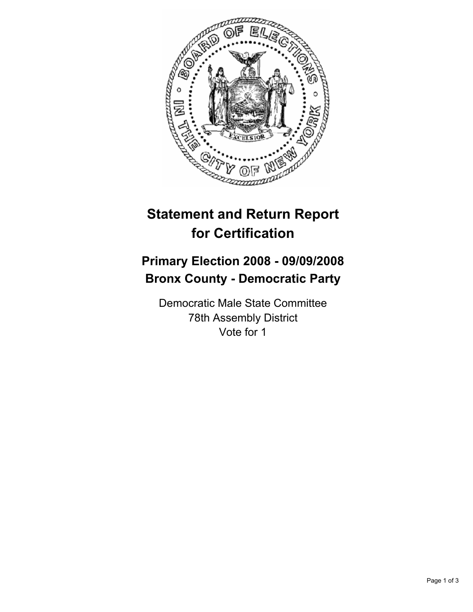

## **Statement and Return Report for Certification**

## **Primary Election 2008 - 09/09/2008 Bronx County - Democratic Party**

Democratic Male State Committee 78th Assembly District Vote for 1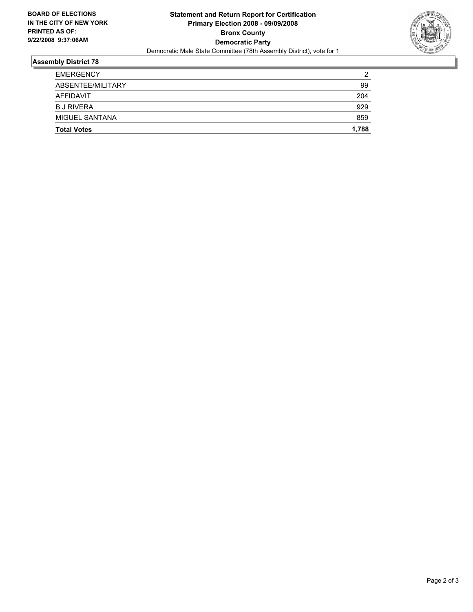

## **Assembly District 78**

| <b>Total Votes</b> | 1,788 |
|--------------------|-------|
| MIGUEL SANTANA     | 859   |
| <b>B J RIVERA</b>  | 929   |
| AFFIDAVIT          | 204   |
| ABSENTEE/MILITARY  | 99    |
| <b>EMERGENCY</b>   | າ     |